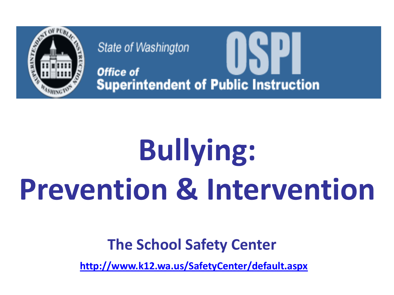

State of Washington Office of **Superintendent of Public Instruction** 

# **Bullying: Prevention & Intervention**

## **The School Safety Center**

**<http://www.k12.wa.us/SafetyCenter/default.aspx>**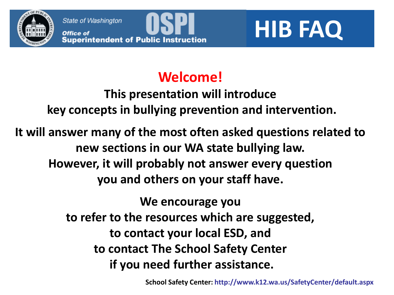State of Washington<br> **Office of**<br> **Superintendent of Public Instruction**<br> **EXPLE FAQ** 

## **Welcome!**

**This presentation will introduce key concepts in bullying prevention and intervention.**

**It will answer many of the most often asked questions related to new sections in our WA state bullying law. However, it will probably not answer every question you and others on your staff have.**

> **We encourage you to refer to the resources which are suggested, to contact your local ESD, and to contact The School Safety Center if you need further assistance.**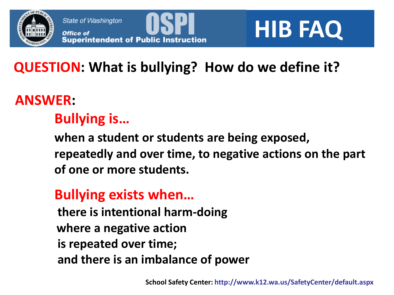

## **QUESTION: What is bullying? How do we define it?**

### **ANSWER:**

### **Bullying is…**

**when a student or students are being exposed, repeatedly and over time, to negative actions on the part of one or more students.**

#### **Bullying exists when…**

 **there is intentional harm-doing where a negative action is repeated over time; and there is an imbalance of power**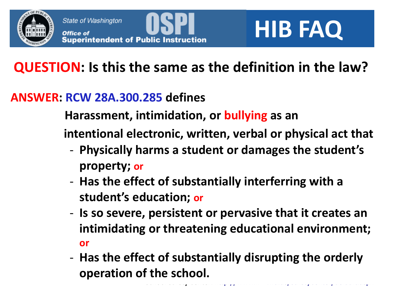

## **QUESTION: Is this the same as the definition in the law?**

#### **ANSWER: RCW 28A.300.285 defines**

 **Harassment, intimidation, or bullying as an**

 **intentional electronic, written, verbal or physical act that**

- **Physically harms a student or damages the student's property; or**
- **Has the effect of substantially interferring with a student's education; or**
- **Is so severe, persistent or pervasive that it creates an intimidating or threatening educational environment; or**
- **School Safety Center: http://www.k12.wa.us/SafetyCenter/default.aspx** - **Has the effect of substantially disrupting the orderly operation of the school.**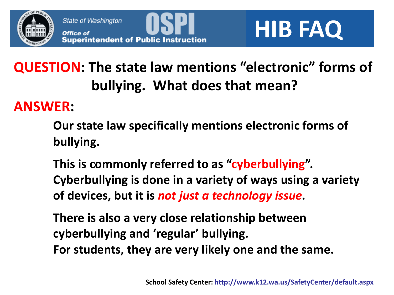

State of Washington<br> **Office of**<br> **Superintendent of Public Instruction**<br> **Buperintendent of Public Instruction** 

## **QUESTION: The state law mentions "electronic" forms of bullying. What does that mean?**

#### **ANSWER:**

- **Our state law specifically mentions electronic forms of bullying.**
- **This is commonly referred to as "cyberbullying". Cyberbullying is done in a variety of ways using a variety of devices, but it is** *not just a technology issue***.**
- **There is also a very close relationship between cyberbullying and 'regular' bullying. For students, they are very likely one and the same.**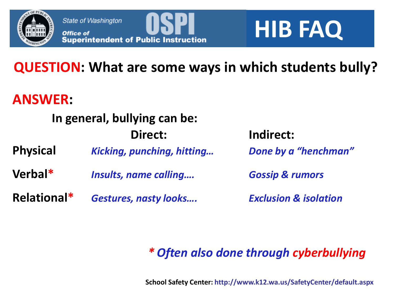

## **QUESTION: What are some ways in which students bully?**

#### **ANSWER:**

## **In general, bullying can be: Direct: Indirect: Physical** *Kicking, punching, hitting… Done by a "henchman"* **Verbal\*** *Insults, name calling…. Gossip & rumors* **Relational\*** *Gestures, nasty looks…. Exclusion & isolation*

#### *\* Often also done through cyberbullying*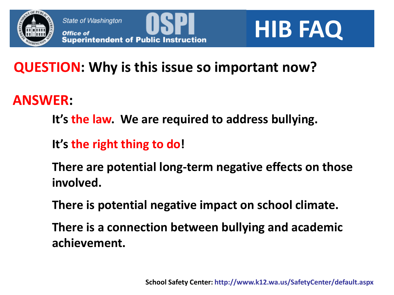



## **QUESTION: Why is this issue so important now?**

### **ANSWER:**

- **It's the law. We are required to address bullying.**
- **It's the right thing to do!**
- **There are potential long-term negative effects on those involved.**
- **There is potential negative impact on school climate.**
- **There is a connection between bullying and academic achievement.**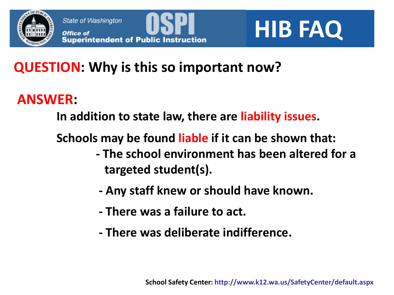

## **QUESTION: Why is this so important now?**

### **ANSWER:**

**In addition to state law, there are liability issues.**

**Schools may be found liable if it can be shown that:**

- **- The school environment has been altered for a targeted student(s).**
- **- Any staff knew or should have known.**
- **- There was a failure to act.**
- **- There was deliberate indifference.**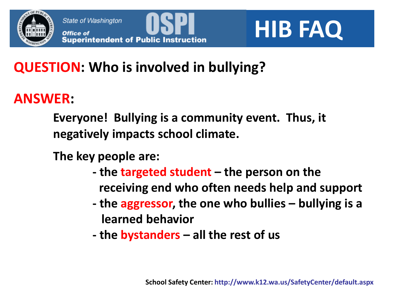

## **QUESTION: Who is involved in bullying?**

### **ANSWER:**

**Everyone! Bullying is a community event. Thus, it negatively impacts school climate.**

**The key people are:**

- **- the targeted student – the person on the receiving end who often needs help and support**
- **- the aggressor, the one who bullies – bullying is a learned behavior**
- **- the bystanders – all the rest of us**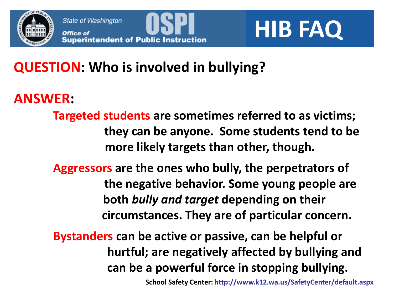

## **QUESTION: Who is involved in bullying?**

#### **ANSWER:**

**Targeted students are sometimes referred to as victims; they can be anyone. Some students tend to be more likely targets than other, though.**

**Aggressors are the ones who bully, the perpetrators of the negative behavior. Some young people are both** *bully and target* **depending on their circumstances. They are of particular concern.**

**Bystanders can be active or passive, can be helpful or hurtful; are negatively affected by bullying and can be a powerful force in stopping bullying.**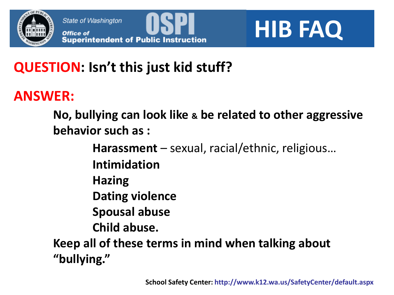

## **QUESTION: Isn't this just kid stuff?**

#### **ANSWER:**

**No, bullying can look like & be related to other aggressive behavior such as :**

**Harassment** – sexual, racial/ethnic, religious…

**Intimidation**

**Hazing**

**Dating violence**

**Spousal abuse**

**Child abuse.**

**Keep all of these terms in mind when talking about "bullying."**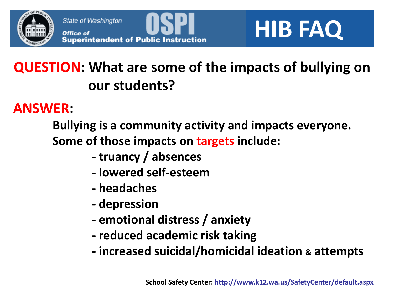



## **QUESTION: What are some of the impacts of bullying on our students?**

#### **ANSWER:**

**Bullying is a community activity and impacts everyone. Some of those impacts on targets include:**

- **- truancy / absences**
- **- lowered self-esteem**
- **- headaches**
- **- depression**
- **- emotional distress / anxiety**
- **- reduced academic risk taking**
- **- increased suicidal/homicidal ideation & attempts**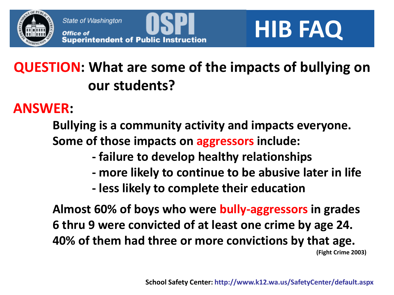

State of Washington<br> **Office of**<br> **Superintendent of Public Instruction**<br> **EXPLEMENT REPORTED:** 

## **QUESTION: What are some of the impacts of bullying on our students?**

#### **ANSWER:**

**Bullying is a community activity and impacts everyone. Some of those impacts on aggressors include:**

- **- failure to develop healthy relationships**
- **- more likely to continue to be abusive later in life**
- **- less likely to complete their education**

**Almost 60% of boys who were bully-aggressors in grades 6 thru 9 were convicted of at least one crime by age 24. 40% of them had three or more convictions by that age. (Fight Crime 2003)**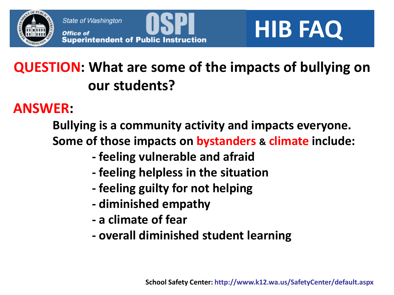

State of Washington<br> **Office of**<br> **Superintendent of Public Instruction**<br> **Buperintendent of Public Instruction** 

## **QUESTION: What are some of the impacts of bullying on our students?**

#### **ANSWER:**

**Bullying is a community activity and impacts everyone. Some of those impacts on bystanders & climate include:**

- **- feeling vulnerable and afraid**
- **- feeling helpless in the situation**
- **- feeling guilty for not helping**
- **- diminished empathy**
- **- a climate of fear**
- **- overall diminished student learning**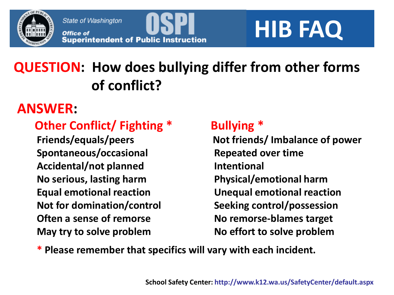

State of Washington<br> **Office of**<br> **Superintendent of Public Instruction**<br> **BUDE FAQ** 

## **QUESTION: How does bullying differ from other forms of conflict?**

#### **ANSWER:**

#### **Other Conflict/ Fighting \* Bullying \***

**Spontaneous/occasional Repeated over time Accidental/not planned Intentional No serious, lasting harm Physical/emotional harm Not for domination/control Seeking control/possession Often a sense of remorse No remorse-blames target** May try to solve problem No effort to solve problem

**Friends/equals/peers Not friends/ Imbalance of power Equal emotional reaction Unequal emotional reaction**

**\* Please remember that specifics will vary with each incident.**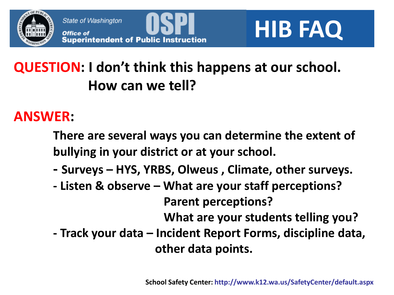

## **QUESTION: I don't think this happens at our school. How can we tell?**

#### **ANSWER:**

**There are several ways you can determine the extent of bullying in your district or at your school.**

- **- Surveys – HYS, YRBS, Olweus , Climate, other surveys.**
- **- Listen & observe – What are your staff perceptions? Parent perceptions? What are your students telling you? - Track your data – Incident Report Forms, discipline data,**

 **other data points.**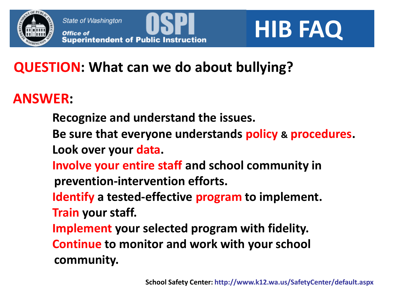

## **QUESTION: What can we do about bullying?**

#### **ANSWER:**

- **Recognize and understand the issues.**
- **Be sure that everyone understands policy & procedures. Look over your data.**
- **Involve your entire staff and school community in prevention-intervention efforts.**
- **Identify a tested-effective program to implement. Train your staff.**
- **Implement your selected program with fidelity. Continue to monitor and work with your school community.**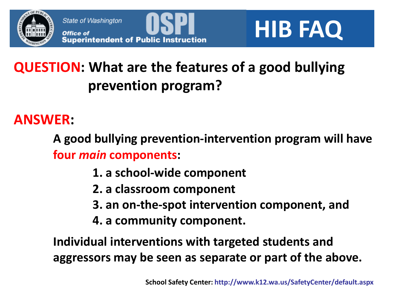



## **QUESTION: What are the features of a good bullying prevention program?**

#### **ANSWER:**

**A good bullying prevention-intervention program will have four** *main* **components:**

- **1. a school-wide component**
- **2. a classroom component**
- **3. an on-the-spot intervention component, and**
- **4. a community component.**

**Individual interventions with targeted students and aggressors may be seen as separate or part of the above.**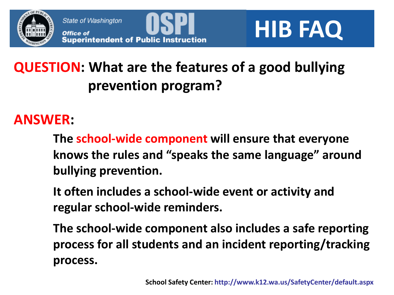

## **QUESTION: What are the features of a good bullying prevention program?**

#### **ANSWER:**

**The school-wide component will ensure that everyone knows the rules and "speaks the same language" around bullying prevention.** 

**It often includes a school-wide event or activity and regular school-wide reminders.**

**The school-wide component also includes a safe reporting process for all students and an incident reporting/tracking process.**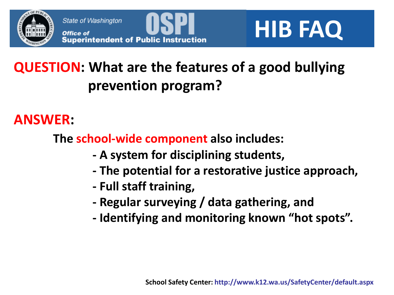

State of Washington<br> **Office of**<br> **Superintendent of Public Instruction**<br> **Buperintendent of Public Instruction** 

## **QUESTION: What are the features of a good bullying prevention program?**

#### **ANSWER:**

**The school-wide component also includes:**

- **- A system for disciplining students,**
- **- The potential for a restorative justice approach,**
- **- Full staff training,**
- **- Regular surveying / data gathering, and**
- **- Identifying and monitoring known "hot spots".**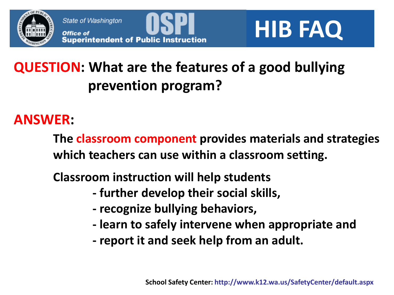

## **QUESTION: What are the features of a good bullying prevention program?**

#### **ANSWER:**

**The classroom component provides materials and strategies which teachers can use within a classroom setting.**

**Classroom instruction will help students** 

- **- further develop their social skills,**
- **- recognize bullying behaviors,**
- **- learn to safely intervene when appropriate and**
- **- report it and seek help from an adult.**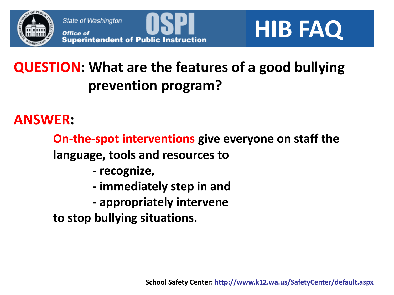



## **QUESTION: What are the features of a good bullying prevention program?**

#### **ANSWER:**

**On-the-spot interventions give everyone on staff the language, tools and resources to** 

- **- recognize,**
- **- immediately step in and**
- **- appropriately intervene**

**to stop bullying situations.**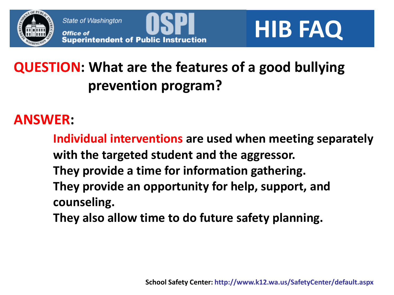

State of Washington<br> **Office of**<br> **Superintendent of Public Instruction**<br> **Buperintendent of Public Instruction** 

## **QUESTION: What are the features of a good bullying prevention program?**

#### **ANSWER:**

**Individual interventions are used when meeting separately with the targeted student and the aggressor. They provide a time for information gathering. They provide an opportunity for help, support, and counseling.**

**They also allow time to do future safety planning.**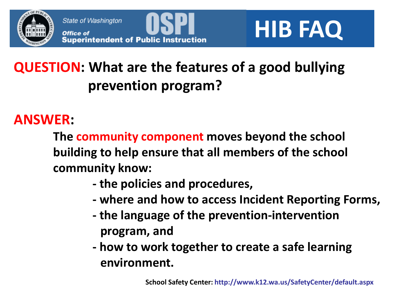

State of Washington<br> **Office of**<br> **Superintendent of Public Instruction**<br> **B HIB FAQ** 

## **QUESTION: What are the features of a good bullying prevention program?**

#### **ANSWER:**

**The community component moves beyond the school building to help ensure that all members of the school community know:**

- **- the policies and procedures,**
- **- where and how to access Incident Reporting Forms,**
- **- the language of the prevention-intervention program, and**
- **- how to work together to create a safe learning environment.**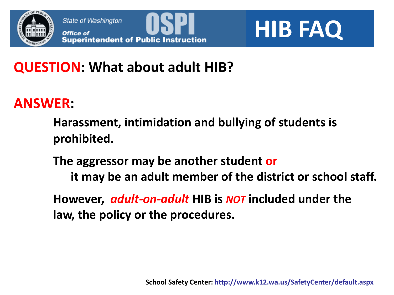



### **QUESTION: What about adult HIB?**

#### **ANSWER:**

**Harassment, intimidation and bullying of students is prohibited.**

**The aggressor may be another student or it may be an adult member of the district or school staff.**

**However,** *adult-on-adult* **HIB is** *NOT* **included under the law, the policy or the procedures.**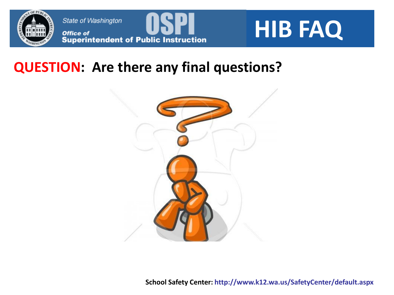



#### **QUESTION: Are there any final questions?**

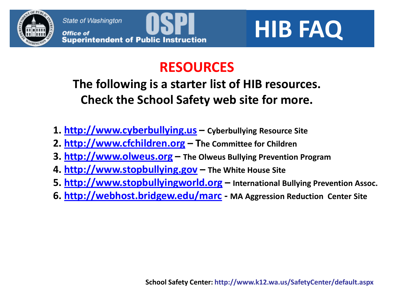



#### **RESOURCES**

#### **The following is a starter list of HIB resources. Check the School Safety web site for more.**

- **1. [http://www.cyberbullying.us](http://www.cyberbullying.us/) – Cyberbullying Resource Site**
- **2. [http://www.cfchildren.org](http://www.cfchildren.org/) – The Committee for Children**
- **3. [http://www.olweus.org](http://www.olweus.org/) – The Olweus Bullying Prevention Program**
- **4. [http://www.stopbullying.gov](http://www.stopbullying.gov/) – The White House Site**
- **5. [http://www.stopbullyingworld.org](http://www.stopbullyingworld.org/) – International Bullying Prevention Assoc.**
- **6.<http://webhost.bridgew.edu/marc> - MA Aggression Reduction Center Site**